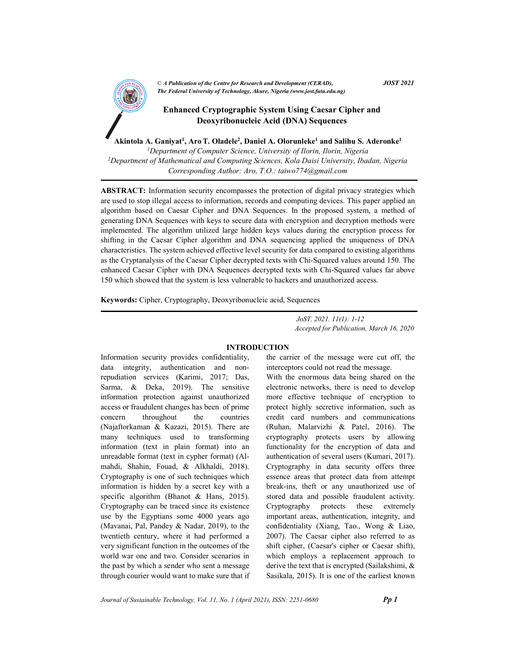

Akintola A. Ganiyat<sup>1</sup>, Aro T. Oladele<sup>2</sup>, Daniel A. Olorunleke<sup>1</sup> and Salihu S. Aderonke<sup>1</sup>

<sup>1</sup>Department of Computer Science, University of Ilorin, Ilorin, Nigeria <sup>2</sup>Department of Mathematical and Computing Sciences, Kola Daisi University, Ibadan, Nigeria Corresponding Author: Aro, T.O.: taiwo774@gmail.com

ABSTRACT: Information security encompasses the protection of digital privacy strategies which are used to stop illegal access to information, records and computing devices. This paper applied an algorithm based on Caesar Cipher and DNA Sequences. In the proposed system, a method of generating DNA Sequences with keys to secure data with encryption and decryption methods were implemented. The algorithm utilized large hidden keys values during the encryption process for shifting in the Caesar Cipher algorithm and DNA sequencing applied the uniqueness of DNA characteristics. The system achieved effective level security for data compared to existing algorithms as the Cryptanalysis of the Caesar Cipher decrypted texts with Chi-Squared values around 150. The enhanced Caesar Cipher with DNA Sequences decrypted texts with Chi-Squared values far above 150 which showed that the system is less vulnerable to hackers and unauthorized access.

Keywords: Cipher, Cryptography, Deoxyribonucleic acid, Sequences

 JoST. 2021. 11(1): 1-12 Accepted for Publication, March 16, 2020

#### INTRODUCTION

Information security provides confidentiality, data integrity, authentication and nonrepudiation services (Karimi, 2017; Das, Sarma, & Deka, 2019). The sensitive information protection against unauthorized access or fraudulent changes has been of prime concern throughout the countries (Najaftorkaman & Kazazi, 2015). There are many techniques used to transforming information (text in plain format) into an unreadable format (text in cypher format) (Almahdi, Shahin, Fouad, & Alkhaldi, 2018). Cryptography is one of such techniques which information is hidden by a secret key with a specific algorithm (Bhanot & Hans, 2015). Cryptography can be traced since its existence use by the Egyptians some 4000 years ago (Mavanai, Pal, Pandey & Nadar, 2019), to the twentieth century, where it had performed a very significant function in the outcomes of the world war one and two. Consider scenarios in the past by which a sender who sent a message through courier would want to make sure that if the carrier of the message were cut off, the interceptors could not read the message.

With the enormous data being shared on the electronic networks, there is need to develop more effective technique of encryption to protect highly secretive information, such as credit card numbers and communications (Ruhan, Malarvizhi & Patel, 2016). The cryptography protects users by allowing functionality for the encryption of data and authentication of several users (Kumari, 2017). Cryptography in data security offers three essence areas that protect data from attempt break-ins, theft or any unauthorized use of stored data and possible fraudulent activity. Cryptography protects these extremely important areas, authentication, integrity, and confidentiality (Xiang, Tao., Wong & Liao, 2007). The Caesar cipher also referred to as shift cipher, (Caesar's cipher or Caesar shift), which employs a replacement approach to derive the text that is encrypted (Sailakshimi, & Sasikala, 2015). It is one of the earliest known

Journal of Sustainable Technology, Vol. 11, No. 1 (April 2021), ISSN: 2251-0680 **Pp 1**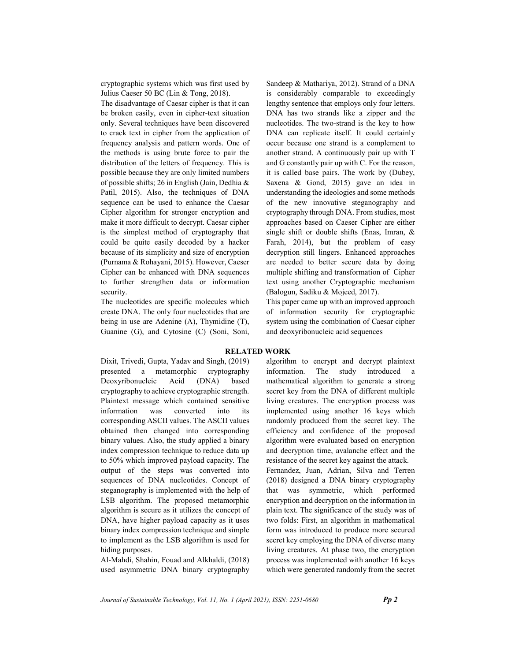cryptographic systems which was first used by Julius Caeser 50 BC (Lin & Tong, 2018).

The disadvantage of Caesar cipher is that it can be broken easily, even in cipher-text situation only. Several techniques have been discovered to crack text in cipher from the application of frequency analysis and pattern words. One of the methods is using brute force to pair the distribution of the letters of frequency. This is possible because they are only limited numbers of possible shifts; 26 in English (Jain, Dedhia & Patil, 2015). Also, the techniques of DNA sequence can be used to enhance the Caesar Cipher algorithm for stronger encryption and make it more difficult to decrypt. Caesar cipher is the simplest method of cryptography that could be quite easily decoded by a hacker because of its simplicity and size of encryption (Purnama & Rohayani, 2015). However, Caeser Cipher can be enhanced with DNA sequences to further strengthen data or information security.

The nucleotides are specific molecules which create DNA. The only four nucleotides that are being in use are Adenine (A), Thymidine (T), Guanine (G), and Cytosine (C) (Soni, Soni, Sandeep & Mathariya, 2012). Strand of a DNA is considerably comparable to exceedingly lengthy sentence that employs only four letters. DNA has two strands like a zipper and the nucleotides. The two-strand is the key to how DNA can replicate itself. It could certainly occur because one strand is a complement to another strand. A continuously pair up with T and G constantly pair up with C. For the reason, it is called base pairs. The work by (Dubey, Saxena & Gond, 2015) gave an idea in understanding the ideologies and some methods of the new innovative steganography and cryptography through DNA. From studies, most approaches based on Caeser Cipher are either single shift or double shifts (Enas, Imran, & Farah, 2014), but the problem of easy decryption still lingers. Enhanced approaches are needed to better secure data by doing multiple shifting and transformation of Cipher text using another Cryptographic mechanism (Balogun, Sadiku & Mojeed, 2017).

This paper came up with an improved approach of information security for cryptographic system using the combination of Caesar cipher and deoxyribonucleic acid sequences

#### RELATED WORK

Dixit, Trivedi, Gupta, Yadav and Singh, (2019) presented a metamorphic cryptography Deoxyribonucleic Acid (DNA) based cryptography to achieve cryptographic strength. Plaintext message which contained sensitive information was converted into its corresponding ASCII values. The ASCII values obtained then changed into corresponding binary values. Also, the study applied a binary index compression technique to reduce data up to 50% which improved payload capacity. The output of the steps was converted into sequences of DNA nucleotides. Concept of steganography is implemented with the help of LSB algorithm. The proposed metamorphic algorithm is secure as it utilizes the concept of DNA, have higher payload capacity as it uses binary index compression technique and simple to implement as the LSB algorithm is used for hiding purposes.

Al-Mahdi, Shahin, Fouad and Alkhaldi, (2018) used asymmetric DNA binary cryptography algorithm to encrypt and decrypt plaintext information. The study introduced mathematical algorithm to generate a strong secret key from the DNA of different multiple living creatures. The encryption process was implemented using another 16 keys which randomly produced from the secret key. The efficiency and confidence of the proposed algorithm were evaluated based on encryption and decryption time, avalanche effect and the resistance of the secret key against the attack.

Fernandez, Juan, Adrian, Silva and Terren (2018) designed a DNA binary cryptography that was symmetric, which performed encryption and decryption on the information in plain text. The significance of the study was of two folds: First, an algorithm in mathematical form was introduced to produce more secured secret key employing the DNA of diverse many living creatures. At phase two, the encryption process was implemented with another 16 keys which were generated randomly from the secret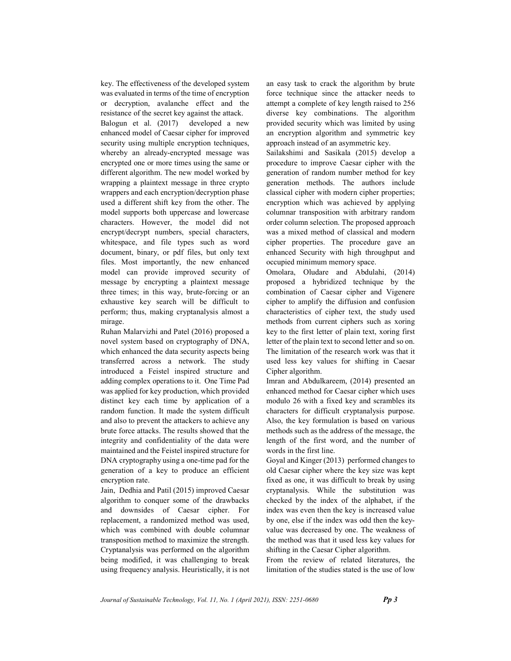key. The effectiveness of the developed system was evaluated in terms of the time of encryption or decryption, avalanche effect and the resistance of the secret key against the attack.

Balogun et al. (2017) developed a new enhanced model of Caesar cipher for improved security using multiple encryption techniques, whereby an already-encrypted message was encrypted one or more times using the same or different algorithm. The new model worked by wrapping a plaintext message in three crypto wrappers and each encryption/decryption phase used a different shift key from the other. The model supports both uppercase and lowercase characters. However, the model did not encrypt/decrypt numbers, special characters, whitespace, and file types such as word document, binary, or pdf files, but only text files. Most importantly, the new enhanced model can provide improved security of message by encrypting a plaintext message three times; in this way, brute-forcing or an exhaustive key search will be difficult to perform; thus, making cryptanalysis almost a mirage.

Ruhan Malarvizhi and Patel (2016) proposed a novel system based on cryptography of DNA, which enhanced the data security aspects being transferred across a network. The study introduced a Feistel inspired structure and adding complex operations to it. One Time Pad was applied for key production, which provided distinct key each time by application of a random function. It made the system difficult and also to prevent the attackers to achieve any brute force attacks. The results showed that the integrity and confidentiality of the data were maintained and the Feistel inspired structure for DNA cryptography using a one-time pad for the generation of a key to produce an efficient encryption rate.

Jain, Dedhia and Patil (2015) improved Caesar algorithm to conquer some of the drawbacks and downsides of Caesar cipher. For replacement, a randomized method was used, which was combined with double columnar transposition method to maximize the strength. Cryptanalysis was performed on the algorithm being modified, it was challenging to break using frequency analysis. Heuristically, it is not an easy task to crack the algorithm by brute force technique since the attacker needs to attempt a complete of key length raised to 256 diverse key combinations. The algorithm provided security which was limited by using an encryption algorithm and symmetric key approach instead of an asymmetric key.

Sailakshimi and Sasikala (2015) develop a procedure to improve Caesar cipher with the generation of random number method for key generation methods. The authors include classical cipher with modern cipher properties; encryption which was achieved by applying columnar transposition with arbitrary random order column selection. The proposed approach was a mixed method of classical and modern cipher properties. The procedure gave an enhanced Security with high throughput and occupied minimum memory space.

Omolara, Oludare and Abdulahi, (2014) proposed a hybridized technique by the combination of Caesar cipher and Vigenere cipher to amplify the diffusion and confusion characteristics of cipher text, the study used methods from current ciphers such as xoring key to the first letter of plain text, xoring first letter of the plain text to second letter and so on. The limitation of the research work was that it used less key values for shifting in Caesar Cipher algorithm.

Imran and Abdulkareem, (2014) presented an enhanced method for Caesar cipher which uses modulo 26 with a fixed key and scrambles its characters for difficult cryptanalysis purpose. Also, the key formulation is based on various methods such as the address of the message, the length of the first word, and the number of words in the first line.

Goyal and Kinger (2013) performed changes to old Caesar cipher where the key size was kept fixed as one, it was difficult to break by using cryptanalysis. While the substitution was checked by the index of the alphabet, if the index was even then the key is increased value by one, else if the index was odd then the keyvalue was decreased by one. The weakness of the method was that it used less key values for shifting in the Caesar Cipher algorithm.

From the review of related literatures, the limitation of the studies stated is the use of low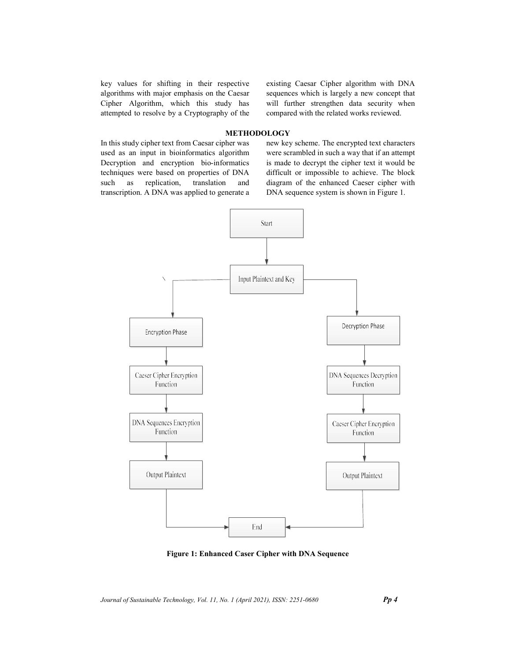key values for shifting in their respective algorithms with major emphasis on the Caesar Cipher Algorithm, which this study has attempted to resolve by a Cryptography of the existing Caesar Cipher algorithm with DNA sequences which is largely a new concept that will further strengthen data security when compared with the related works reviewed.

# **METHODOLOGY**

In this study cipher text from Caesar cipher was used as an input in bioinformatics algorithm Decryption and encryption bio-informatics techniques were based on properties of DNA such as replication, translation and transcription. A DNA was applied to generate a new key scheme. The encrypted text characters were scrambled in such a way that if an attempt is made to decrypt the cipher text it would be difficult or impossible to achieve. The block diagram of the enhanced Caeser cipher with DNA sequence system is shown in Figure 1.



Figure 1: Enhanced Caser Cipher with DNA Sequence

Journal of Sustainable Technology, Vol. 11, No. 1 (April 2021), ISSN: 2251-0680 Pp 4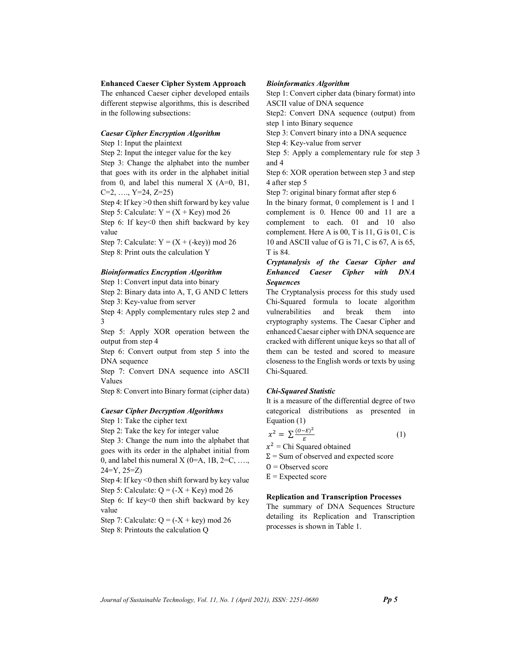Enhanced Caeser Cipher System Approach

The enhanced Caeser cipher developed entails different stepwise algorithms, this is described in the following subsections:

### Caesar Cipher Encryption Algorithm

Step 1: Input the plaintext

Step 2: Input the integer value for the key

Step 3: Change the alphabet into the number that goes with its order in the alphabet initial from 0, and label this numeral  $X$  (A=0, B1,  $C=2, \ldots, Y=24, Z=25$ 

Step 4: If key >0 then shift forward by key value Step 5: Calculate:  $Y = (X + Key) \mod 26$ Step 6: If key<0 then shift backward by key value

Step 7: Calculate:  $Y = (X + (-key)) \mod 26$ Step 8: Print outs the calculation Y

#### Bioinformatics Encryption Algorithm

Step 1: Convert input data into binary

Step 2: Binary data into A, T, G AND C letters Step 3: Key-value from server

Step 4: Apply complementary rules step 2 and 3

Step 5: Apply XOR operation between the output from step 4

Step 6: Convert output from step 5 into the DNA sequence

Step 7: Convert DNA sequence into ASCII Values

Step 8: Convert into Binary format (cipher data)

### Caesar Cipher Decryption Algorithms

Step 1: Take the cipher text

Step 2: Take the key for integer value

Step 3: Change the num into the alphabet that goes with its order in the alphabet initial from 0, and label this numeral X (0=A, 1B, 2=C, ..., 24=Y, 25=Z)

Step 4: If key <0 then shift forward by key value Step 5: Calculate:  $Q = (-X + Key)$  mod 26

Step 6: If key<0 then shift backward by key value

Step 7: Calculate:  $Q = (-X + \text{key}) \text{ mod } 26$ 

Step 8: Printouts the calculation Q

### Bioinformatics Algorithm

Step 1: Convert cipher data (binary format) into ASCII value of DNA sequence

Step2: Convert DNA sequence (output) from step 1 into Binary sequence

Step 3: Convert binary into a DNA sequence

Step 4: Key-value from server

Step 5: Apply a complementary rule for step 3 and 4

Step 6: XOR operation between step 3 and step 4 after step 5

Step 7: original binary format after step 6

In the binary format, 0 complement is 1 and 1 complement is 0. Hence 00 and 11 are a complement to each. 01 and 10 also complement. Here A is 00, T is 11, G is 01, C is 10 and ASCII value of G is 71, C is 67, A is 65, T is 84.

## Cryptanalysis of the Caesar Cipher and Enhanced Caeser Cipher with DNA **Sequences**

The Cryptanalysis process for this study used Chi-Squared formula to locate algorithm vulnerabilities and break them into cryptography systems. The Caesar Cipher and enhanced Caesar cipher with DNA sequence are cracked with different unique keys so that all of them can be tested and scored to measure closeness to the English words or texts by using Chi-Squared.

#### Chi-Squared Statistic

It is a measure of the differential degree of two categorical distributions as presented in Equation (1)

$$
x^2 = \sum \frac{(O-E)^2}{F} \tag{1}
$$

 $x^2$  = Chi Squared obtained

- $\Sigma$  = Sum of observed and expected score
- $0 = Observed score$
- $E =$ Expected score

## Replication and Transcription Processes

The summary of DNA Sequences Structure detailing its Replication and Transcription processes is shown in Table 1.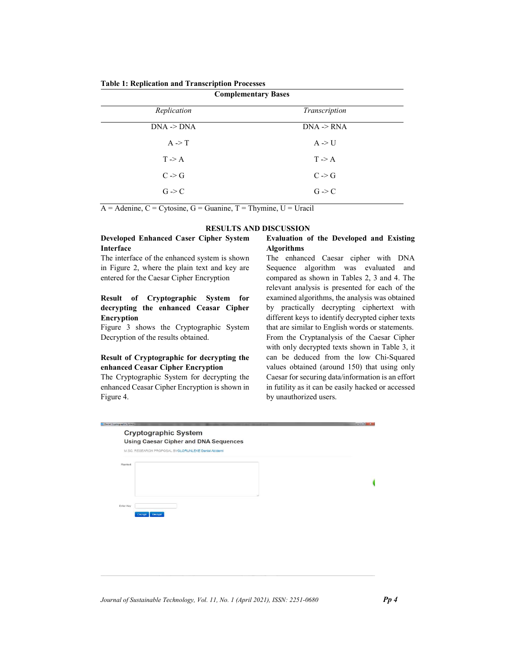| <b>Complementary Bases</b> |                   |  |
|----------------------------|-------------------|--|
| Replication                | Transcription     |  |
| $DNA \rightarrow DNA$      | $DNA \geq RNA$    |  |
| $A \rightarrow T$          | $A \rightarrow U$ |  |
| $T \rightarrow A$          | $T \rightarrow A$ |  |
| $C \rightarrow G$          | $C \rightarrow G$ |  |
| $G \rightarrow C$          | $G \rightarrow C$ |  |
|                            |                   |  |

Table 1: Replication and Transcription Processes

 $\overline{A}$  = Adenine,  $C$  = Cytosine,  $G$  = Guanine,  $T$  = Thymine,  $U$  = Uracil

|  | RESULTS AND DISCUSSION |  |
|--|------------------------|--|
|  |                        |  |

## Developed Enhanced Caser Cipher System Interface

The interface of the enhanced system is shown in Figure 2, where the plain text and key are entered for the Caesar Cipher Encryption

# Result of Cryptographic System for decrypting the enhanced Ceasar Cipher Encryption

Figure 3 shows the Cryptographic System Decryption of the results obtained.

# Result of Cryptographic for decrypting the enhanced Ceasar Cipher Encryption

The Cryptographic System for decrypting the enhanced Ceasar Cipher Encryption is shown in Figure 4.

## Evaluation of the Developed and Existing Algorithms

The enhanced Caesar cipher with DNA Sequence algorithm was evaluated and compared as shown in Tables 2, 3 and 4. The relevant analysis is presented for each of the examined algorithms, the analysis was obtained by practically decrypting ciphertext with different keys to identify decrypted cipher texts that are similar to English words or statements. From the Cryptanalysis of the Caesar Cipher with only decrypted texts shown in Table 3, it can be deduced from the low Chi-Squared values obtained (around 150) that using only Caesar for securing data/information is an effort in futility as it can be easily hacked or accessed by unauthorized users.

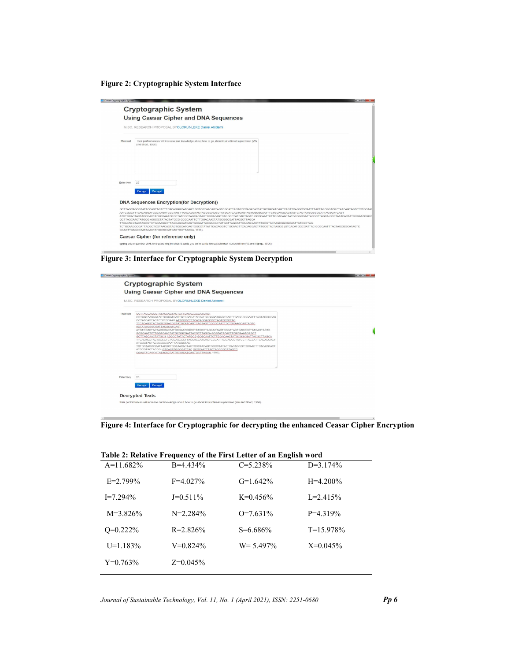Figure 2: Cryptographic System Interface

| - Daniel Cryptographic System | $-844 - 146$<br><b>Cryptographic System</b>                                                                                                                                                                                                                                                                                                                                                                                                                                                                                                                                                                                                                |
|-------------------------------|------------------------------------------------------------------------------------------------------------------------------------------------------------------------------------------------------------------------------------------------------------------------------------------------------------------------------------------------------------------------------------------------------------------------------------------------------------------------------------------------------------------------------------------------------------------------------------------------------------------------------------------------------------|
|                               | <b>Using Caesar Cipher and DNA Sequences</b>                                                                                                                                                                                                                                                                                                                                                                                                                                                                                                                                                                                                               |
|                               | M.SC. RESEARCH PROPOSAL BYOLORUNLEKE Daniel Abidemi                                                                                                                                                                                                                                                                                                                                                                                                                                                                                                                                                                                                        |
| Plaintext                     | their performances will increase our knowledge about how to go about instructional supervision (Wu<br>and Short, 1996).                                                                                                                                                                                                                                                                                                                                                                                                                                                                                                                                    |
| Enter Key                     | 25                                                                                                                                                                                                                                                                                                                                                                                                                                                                                                                                                                                                                                                         |
|                               | Decrypt<br>Encrypt<br><b>DNA Sequences Encryption(for Decryption))</b>                                                                                                                                                                                                                                                                                                                                                                                                                                                                                                                                                                                     |
|                               | AATCGGCTTTCACAGGATCGCTAGATCGCTAG TTCACAGGTACTAGCGGACGCTATGCATCAGTCAGTAGTCGCGCAATTTCTGCAAGCAGTAGTC ACTATGCGGCGATTACGCATCAGT<br>ATGTGCACTACTAGCGACTATGCGAATCGGCTATCGCTAGCAGTAGTCGCATAGTCAGGCCTATCAGTAGTCGCGCAATTCTTGGACAACTATGCGGCGATTACGCTTAGCAGCGTATACACTATGCGAATCGGC<br>GCTTAGCAACTATGCG AGGCCTATACTATGCG GCGCAATTCTTGGACAACTATGCGGCGATTACGCTTAGCA<br>TTCACAGGTACTAGCGTCTGCAAGGCTTAGCAGCATCAGTGCGATTACGACGCTATGCTTAGCATTCACAGGACTATGCGTACTAGCGGCGCAATTATCGCTAG<br>TCTGCAAGGCGATTACGCTCGTAACAGTAGTCGCATCAGTGGCCTATATTCACAGGTCTGCAAGTTCACAGGACTATGCGTACTAGCG (GTCACATGGCGATTAC GCGCAATTTACTAGCGGCATAGTC<br>CGAGTTCAGCGTATACACTATGCGGCATCAGTGCTTAGCA, 1996). |
|                               | Caesar Cipher (for reference only)                                                                                                                                                                                                                                                                                                                                                                                                                                                                                                                                                                                                                         |
|                               |                                                                                                                                                                                                                                                                                                                                                                                                                                                                                                                                                                                                                                                            |

Figure 3: Interface for Cryptographic System Decryption



Figure 4: Interface for Cryptographic for decrypting the enhanced Ceasar Cipher Encryption

| Table 2: Relative Frequency of the First Letter of an English word |               |               |                |  |
|--------------------------------------------------------------------|---------------|---------------|----------------|--|
| $A=11.682\%$                                                       | $B = 4.434\%$ | $C = 5.238\%$ | $D=3.174%$     |  |
| $E=2.799\%$                                                        | $F=4.027\%$   | $G=1.642\%$   | $H=4.200\%$    |  |
| $I = 7.294\%$                                                      | $J=0.511\%$   | $K=0.456%$    | $L = 2.415%$   |  |
| $M = 3.826\%$                                                      | $N = 2.284\%$ | $Q=7.631\%$   | $P = 4.319\%$  |  |
| $Q=0.222\%$                                                        | $R = 2.826\%$ | $S = 6.686\%$ | $T = 15.978\%$ |  |
| $U=1.183%$                                                         | $V=0.824\%$   | $W = 5.497\%$ | $X=0.045%$     |  |
| $Y=0.763\%$                                                        | $Z=0.045%$    |               |                |  |

| Table 2: Relative Frequency of the First Letter of an English word |  |  |
|--------------------------------------------------------------------|--|--|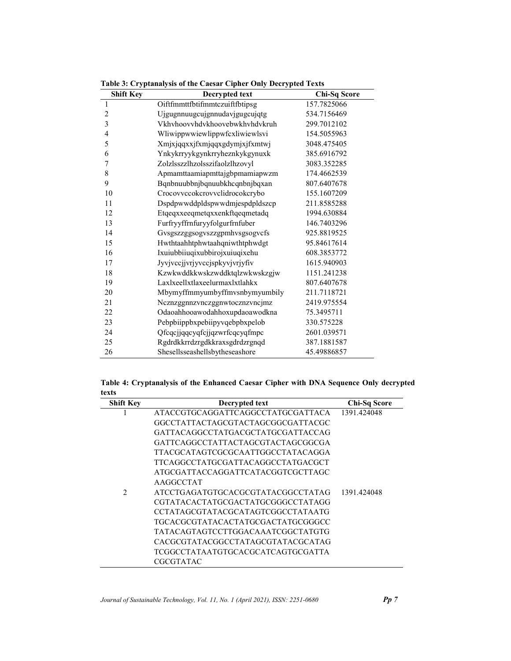| <b>Shift Key</b>        | Decrypted text                 | Chi-Sq Score |
|-------------------------|--------------------------------|--------------|
| $\mathbf{1}$            | Oiftfmmttfbtifmmtczuiftfbtipsg | 157.7825066  |
| $\overline{c}$          | Ujgugnnuugcujgnnudavjgugcujqtg | 534.7156469  |
| $\overline{\mathbf{3}}$ | Vkhyhoovyhdykhoovebwkhyhdykruh | 299.7012102  |
| $\overline{4}$          | Wliwippwwiewlippwfcxliwiewlsvi | 154.5055963  |
| 5                       | Xmjxjqqxxjfxmjqqxgdymjxjfxmtwj | 3048.475405  |
| 6                       | Ynkykrryykgynkrryheznkykgynuxk | 385.6916792  |
| 7                       | Zolzlsszzlhzolsszifaolzlhzovyl | 3083.352285  |
| 8                       | Apmamttaamiapmttajgbpmamiapwzm | 174.4662539  |
| 9                       | Bqnbnuubbnjbqnuubkhcqnbnjbqxan | 807.6407678  |
| 10                      | Crocovvccokcrovvclidrocokcrybo | 155.1607209  |
| 11                      | Dspdpwwddpldspwwdmjespdpldszcp | 211.8585288  |
| 12                      | Etqeqxxeeqmetqxxenkftqeqmetadq | 1994.630884  |
| 13                      | Furfryyffrnfuryyfolgurfrnfuber | 146.7403296  |
| 14                      | Gvsgszzggsogvszzgpmhvsgsogvcfs | 925.8819525  |
| 15                      | Hwthtaahhtphwtaahqniwthtphwdgt | 95.84617614  |
| 16                      | Ixuiubbiiuqixubbirojxuiuqixehu | 608.3853772  |
| 17                      | Jyvjvccjjvrjyvccjspkyvjvrjyfiv | 1615.940903  |
| 18                      | Kzwkwddkkwskzwddktqlzwkwskzgjw | 1151.241238  |
| 19                      | Laxlxeellxtlaxeelurmaxlxtlahkx | 807.6407678  |
| 20                      | Mbymyffmmyumbyffmvsnbymyumbily | 211.7118721  |
| 21                      | Ncznzggnnzvnczggnwtocznzvncjmz | 2419.975554  |
| 22                      | Odaoahhooawodahhoxupdaoawodkna | 75.3495711   |
| 23                      | Pebpbiippbxpebiipyvqebpbxpelob | 330.575228   |
| 24                      | Qfcqcjjqqcyqfcjjqzwrfcqcyqfmpc | 2601.039571  |
| 25                      | Rgdrdkkrrdzrgdkkraxsgdrdzrgnqd | 387.1881587  |
| 26                      | Shesellsseashellsbytheseashore | 45.49886857  |

Table 3: Cryptanalysis of the Caesar Cipher Only Decrypted Texts

| Table 4: Cryptanalysis of the Enhanced Caesar Cipher with DNA Sequence Only decrypted |  |  |
|---------------------------------------------------------------------------------------|--|--|
| texts                                                                                 |  |  |
|                                                                                       |  |  |

| <b>Shift Key</b> | Decrypted text                    | <b>Chi-Sq Score</b> |
|------------------|-----------------------------------|---------------------|
|                  | ATACCGTGCAGGATTCAGGCCTATGCGATTACA | 1391.424048         |
|                  | GGCCTATTACTAGCGTACTAGCGGCGATTACGC |                     |
|                  | GATTACAGGCCTATGACGCTATGCGATTACCAG |                     |
|                  | GATTCAGGCCTATTACTAGCGTACTAGCGGCGA |                     |
|                  | TTACGCATAGTCGCGCAATTGGCCTATACAGGA |                     |
|                  | TTCAGGCCTATGCGATTACAGGCCTATGACGCT |                     |
|                  | ATGCGATTACCAGGATTCATACGGTCGCTTAGC |                     |
|                  | AAGGCCTAT                         |                     |
| $\mathfrak{D}$   | ATCCTGAGATGTGCACGCGTATACGGCCTATAG | 1391.424048         |
|                  | CGTATACACTATGCGACTATGCGGGCCTATAGG |                     |
|                  | CCTATAGCGTATACGCATAGTCGGCCTATAATG |                     |
|                  | TGCACGCGTATACACTATGCGACTATGCGGGCC |                     |
|                  | TATACAGTAGTCCTTGGACAAATCGGCTATGTG |                     |
|                  | CACGCGTATACGGCCTATAGCGTATACGCATAG |                     |
|                  | TCGGCCTATAATGTGCACGCATCAGTGCGATTA |                     |
|                  | CGCGTATAC                         |                     |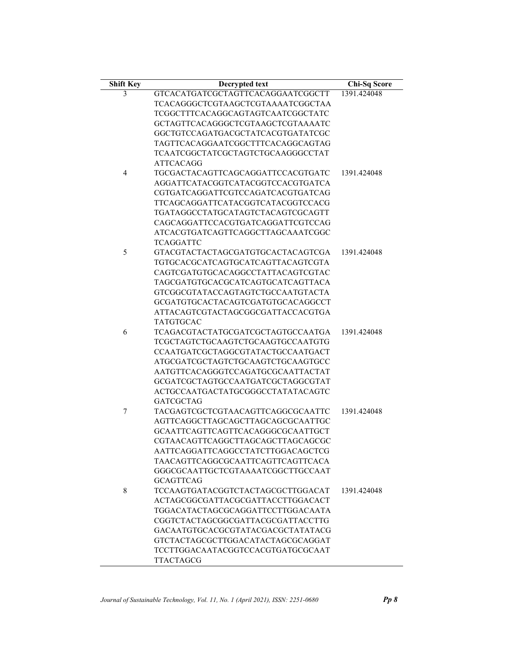| <b>Shift Key</b> | Decrypted text                           | Chi-Sq Score |
|------------------|------------------------------------------|--------------|
| 3                | GTCACATGATCGCTAGTTCACAGGAATCGGCTT        | 1391.424048  |
|                  | <b>TCACAGGGCTCGTAAGCTCGTAAAATCGGCTAA</b> |              |
|                  | TCGGCTTTCACAGGCAGTAGTCAATCGGCTATC        |              |
|                  | GCTAGTTCACAGGGCTCGTAAGCTCGTAAAATC        |              |
|                  | GGCTGTCCAGATGACGCTATCACGTGATATCGC        |              |
|                  | TAGTTCACAGGAATCGGCTTTCACAGGCAGTAG        |              |
|                  | <b>TCAATCGGCTATCGCTAGTCTGCAAGGGCCTAT</b> |              |
|                  | <b>ATTCACAGG</b>                         |              |
| 4                | TGCGACTACAGTTCAGCAGGATTCCACGTGATC        | 1391.424048  |
|                  | AGGATTCATACGGTCATACGGTCCACGTGATCA        |              |
|                  | CGTGATCAGGATTCGTCCAGATCACGTGATCAG        |              |
|                  | TTCAGCAGGATTCATACGGTCATACGGTCCACG        |              |
|                  | TGATAGGCCTATGCATAGTCTACAGTCGCAGTT        |              |
|                  | CAGCAGGATTCCACGTGATCAGGATTCGTCCAG        |              |
|                  | ATCACGTGATCAGTTCAGGCTTAGCAAATCGGC        |              |
|                  | TCAGGATTC                                |              |
| 5                | GTACGTACTACTAGCGATGTGCACTACAGTCGA        | 1391.424048  |
|                  | TGTGCACGCATCAGTGCATCAGTTACAGTCGTA        |              |
|                  | CAGTCGATGTGCACAGGCCTATTACAGTCGTAC        |              |
|                  | TAGCGATGTGCACGCATCAGTGCATCAGTTACA        |              |
|                  | GTCGGCGTATACCAGTAGTCTGCCAATGTACTA        |              |
|                  | GCGATGTGCACTACAGTCGATGTGCACAGGCCT        |              |
|                  | ATTACAGTCGTACTAGCGGCGATTACCACGTGA        |              |
|                  | TATGTGCAC                                |              |
| 6                | TCAGACGTACTATGCGATCGCTAGTGCCAATGA        | 1391.424048  |
|                  | TCGCTAGTCTGCAAGTCTGCAAGTGCCAATGTG        |              |
|                  | CCAATGATCGCTAGGCGTATACTGCCAATGACT        |              |
|                  | ATGCGATCGCTAGTCTGCAAGTCTGCAAGTGCC        |              |
|                  | AATGTTCACAGGGTCCAGATGCGCAATTACTAT        |              |
|                  | GCGATCGCTAGTGCCAATGATCGCTAGGCGTAT        |              |
|                  | ACTGCCAATGACTATGCGGGCCTATATACAGTC        |              |
|                  | <b>GATCGCTAG</b>                         |              |
| 7                | TACGAGTCGCTCGTAACAGTTCAGGCGCAATTC        | 1391.424048  |
|                  | AGTTCAGGCTTAGCAGCTTAGCAGCGCAATTGC        |              |
|                  | GCAATTCAGTTCAGTTCACAGGGCGCAATTGCT        |              |
|                  | CGTAACAGTTCAGGCTTAGCAGCTTAGCAGCGC        |              |
|                  | AATTCAGGATTCAGGCCTATCTTGGACAGCTCG        |              |
|                  | TAACAGTTCAGGCGCAATTCAGTTCAGTTCACA        |              |
|                  |                                          |              |
|                  | GGGCGCAATTGCTCGTAAAATCGGCTTGCCAAT        |              |
|                  | <b>GCAGTTCAG</b>                         |              |
| 8                | TCCAAGTGATACGGTCTACTAGCGCTTGGACAT        | 1391.424048  |
|                  | ACTAGCGGCGATTACGCGATTACCTTGGACACT        |              |
|                  | TGGACATACTAGCGCAGGATTCCTTGGACAATA        |              |
|                  | CGGTCTACTAGCGGCGATTACGCGATTACCTTG        |              |
|                  | GACAATGTGCACGCGTATACGACGCTATATACG        |              |
|                  | GTCTACTAGCGCTTGGACATACTAGCGCAGGAT        |              |
|                  | TCCTTGGACAATACGGTCCACGTGATGCGCAAT        |              |
|                  | <b>TTACTAGCG</b>                         |              |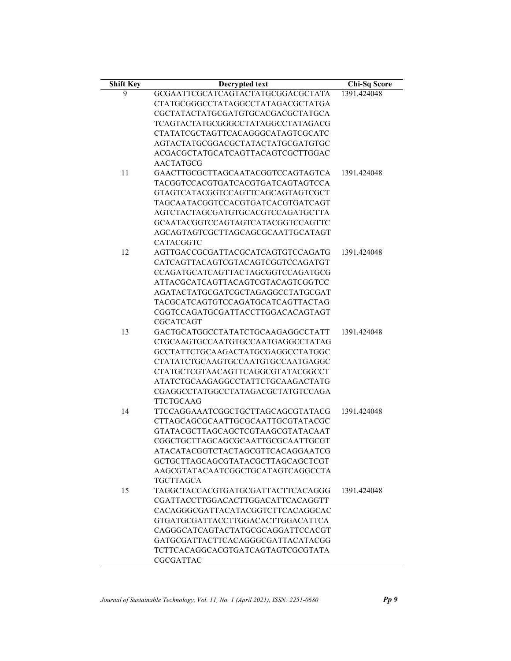| <b>Shift Key</b> | Decrypted text                    | Chi-Sq Score |
|------------------|-----------------------------------|--------------|
| 9                | GCGAATTCGCATCAGTACTATGCGGACGCTATA | 1391.424048  |
|                  | CTATGCGGGCCTATAGGCCTATAGACGCTATGA |              |
|                  | CGCTATACTATGCGATGTGCACGACGCTATGCA |              |
|                  | TCAGTACTATGCGGGCCTATAGGCCTATAGACG |              |
|                  | CTATATCGCTAGTTCACAGGGCATAGTCGCATC |              |
|                  | AGTACTATGCGGACGCTATACTATGCGATGTGC |              |
|                  | ACGACGCTATGCATCAGTTACAGTCGCTTGGAC |              |
|                  | <b>AACTATGCG</b>                  |              |
| 11               | GAACTTGCGCTTAGCAATACGGTCCAGTAGTCA | 1391.424048  |
|                  | TACGGTCCACGTGATCACGTGATCAGTAGTCCA |              |
|                  | GTAGTCATACGGTCCAGTTCAGCAGTAGTCGCT |              |
|                  | TAGCAATACGGTCCACGTGATCACGTGATCAGT |              |
|                  | AGTCTACTAGCGATGTGCACGTCCAGATGCTTA |              |
|                  | GCAATACGGTCCAGTAGTCATACGGTCCAGTTC |              |
|                  | AGCAGTAGTCGCTTAGCAGCGCAATTGCATAGT |              |
|                  | CATACGGTC                         |              |
| 12               | AGTTGACCGCGATTACGCATCAGTGTCCAGATG | 1391.424048  |
|                  | CATCAGTTACAGTCGTACAGTCGGTCCAGATGT |              |
|                  | CCAGATGCATCAGTTACTAGCGGTCCAGATGCG |              |
|                  | ATTACGCATCAGTTACAGTCGTACAGTCGGTCC |              |
|                  | AGATACTATGCGATCGCTAGAGGCCTATGCGAT |              |
|                  | TACGCATCAGTGTCCAGATGCATCAGTTACTAG |              |
|                  | CGGTCCAGATGCGATTACCTTGGACACAGTAGT |              |
|                  | <b>CGCATCAGT</b>                  |              |
| 13               | GACTGCATGGCCTATATCTGCAAGAGGCCTATT | 1391.424048  |
|                  | CTGCAAGTGCCAATGTGCCAATGAGGCCTATAG |              |
|                  | GCCTATTCTGCAAGACTATGCGAGGCCTATGGC |              |
|                  | CTATATCTGCAAGTGCCAATGTGCCAATGAGGC |              |
|                  | CTATGCTCGTAACAGTTCAGGCGTATACGGCCT |              |
|                  | ATATCTGCAAGAGGCCTATTCTGCAAGACTATG |              |
|                  | CGAGGCCTATGGCCTATAGACGCTATGTCCAGA |              |
|                  | TTCTGCAAG                         |              |
| 14               | TTCCAGGAAATCGGCTGCTTAGCAGCGTATACG | 1391.424048  |
|                  | CTTAGCAGCGCAATTGCGCAATTGCGTATACGC |              |
|                  | GTATACGCTTAGCAGCTCGTAAGCGTATACAAT |              |
|                  | CGGCTGCTTAGCAGCGCAATTGCGCAATTGCGT |              |
|                  | ATACATACGGTCTACTAGCGTTCACAGGAATCG |              |
|                  | GCTGCTTAGCAGCGTATACGCTTAGCAGCTCGT |              |
|                  | AAGCGTATACAATCGGCTGCATAGTCAGGCCTA |              |
|                  | TGCTTAGCA                         |              |
| 15               | TAGGCTACCACGTGATGCGATTACTTCACAGGG | 1391.424048  |
|                  | CGATTACCTTGGACACTTGGACATTCACAGGTT |              |
|                  | CACAGGGCGATTACATACGGTCTTCACAGGCAC |              |
|                  | GTGATGCGATTACCTTGGACACTTGGACATTCA |              |
|                  | CAGGGCATCAGTACTATGCGCAGGATTCCACGT |              |
|                  | GATGCGATTACTTCACAGGGCGATTACATACGG |              |
|                  | TCTTCACAGGCACGTGATCAGTAGTCGCGTATA |              |
|                  |                                   |              |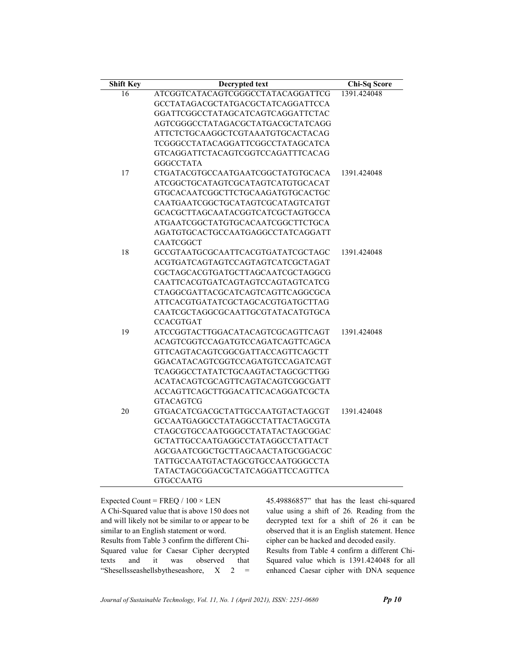| <b>Shift Key</b> | Decrypted text                    | <b>Chi-Sq Score</b> |
|------------------|-----------------------------------|---------------------|
| 16               | ATCGGTCATACAGTCGGGCCTATACAGGATTCG | 1391.424048         |
|                  | GCCTATAGACGCTATGACGCTATCAGGATTCCA |                     |
|                  | GGATTCGGCCTATAGCATCAGTCAGGATTCTAC |                     |
|                  | AGTCGGGCCTATAGACGCTATGACGCTATCAGG |                     |
|                  | ATTCTCTGCAAGGCTCGTAAATGTGCACTACAG |                     |
|                  | TCGGGCCTATACAGGATTCGGCCTATAGCATCA |                     |
|                  | GTCAGGATTCTACAGTCGGTCCAGATTTCACAG |                     |
|                  | GGGCCTATA                         |                     |
| 17               | CTGATACGTGCCAATGAATCGGCTATGTGCACA | 1391.424048         |
|                  | ATCGGCTGCATAGTCGCATAGTCATGTGCACAT |                     |
|                  | GTGCACAATCGGCTTCTGCAAGATGTGCACTGC |                     |
|                  | CAATGAATCGGCTGCATAGTCGCATAGTCATGT |                     |
|                  | GCACGCTTAGCAATACGGTCATCGCTAGTGCCA |                     |
|                  | ATGAATCGGCTATGTGCACAATCGGCTTCTGCA |                     |
|                  | AGATGTGCACTGCCAATGAGGCCTATCAGGATT |                     |
|                  | <b>CAATCGGCT</b>                  |                     |
| 18               | GCCGTAATGCGCAATTCACGTGATATCGCTAGC | 1391.424048         |
|                  | ACGTGATCAGTAGTCCAGTAGTCATCGCTAGAT |                     |
|                  | CGCTAGCACGTGATGCTTAGCAATCGCTAGGCG |                     |
|                  | CAATTCACGTGATCAGTAGTCCAGTAGTCATCG |                     |
|                  | CTAGGCGATTACGCATCAGTCAGTTCAGGCGCA |                     |
|                  | ATTCACGTGATATCGCTAGCACGTGATGCTTAG |                     |
|                  | CAATCGCTAGGCGCAATTGCGTATACATGTGCA |                     |
|                  | <b>CCACGTGAT</b>                  |                     |
| 19               | ATCCGGTACTTGGACATACAGTCGCAGTTCAGT | 1391.424048         |
|                  | ACAGTCGGTCCAGATGTCCAGATCAGTTCAGCA |                     |
|                  | GTTCAGTACAGTCGGCGATTACCAGTTCAGCTT |                     |
|                  | GGACATACAGTCGGTCCAGATGTCCAGATCAGT |                     |
|                  | TCAGGGCCTATATCTGCAAGTACTAGCGCTTGG |                     |
|                  | ACATACAGTCGCAGTTCAGTACAGTCGGCGATT |                     |
|                  | ACCAGTTCAGCTTGGACATTCACAGGATCGCTA |                     |
|                  | <b>GTACAGTCG</b>                  |                     |
| 20               | GTGACATCGACGCTATTGCCAATGTACTAGCGT | 1391.424048         |
|                  | GCCAATGAGGCCTATAGGCCTATTACTAGCGTA |                     |
|                  | CTAGCGTGCCAATGGGCCTATATACTAGCGGAC |                     |
|                  | GCTATTGCCAATGAGGCCTATAGGCCTATTACT |                     |
|                  | AGCGAATCGGCTGCTTAGCAACTATGCGGACGC |                     |
|                  | TATTGCCAATGTACTAGCGTGCCAATGGGCCTA |                     |
|                  | TATACTAGCGGACGCTATCAGGATTCCAGTTCA |                     |
|                  | <b>GTGCCAATG</b>                  |                     |

Expected Count =  $FRep / 100 \times LEN$ A Chi-Squared value that is above 150 does not and will likely not be similar to or appear to be similar to an English statement or word. Results from Table 3 confirm the different Chi-Squared value for Caesar Cipher decrypted texts and it was observed that "Shesellsseashellsbytheseashore, X 2 = 45.49886857" that has the least chi-squared value using a shift of 26. Reading from the decrypted text for a shift of 26 it can be observed that it is an English statement. Hence cipher can be hacked and decoded easily.

Results from Table 4 confirm a different Chi-Squared value which is 1391.424048 for all enhanced Caesar cipher with DNA sequence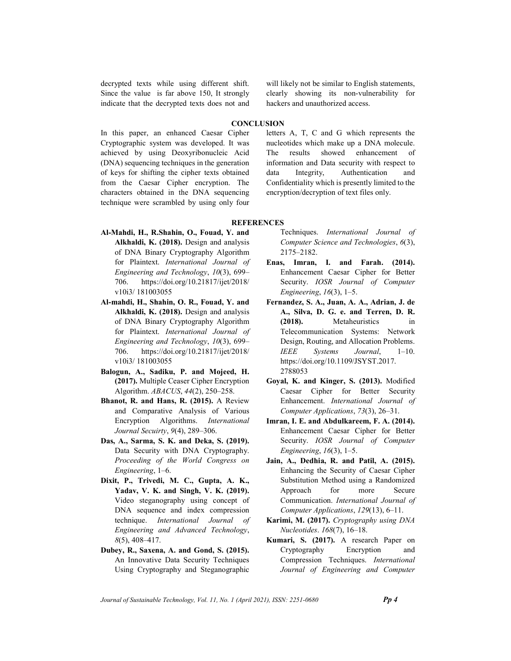decrypted texts while using different shift. Since the value is far above 150, It strongly indicate that the decrypted texts does not and will likely not be similar to English statements, clearly showing its non-vulnerability for hackers and unauthorized access.

### **CONCLUSION**

In this paper, an enhanced Caesar Cipher Cryptographic system was developed. It was achieved by using Deoxyribonucleic Acid (DNA) sequencing techniques in the generation of keys for shifting the cipher texts obtained from the Caesar Cipher encryption. The characters obtained in the DNA sequencing technique were scrambled by using only four letters A, T, C and G which represents the nucleotides which make up a DNA molecule. The results showed enhancement of information and Data security with respect to data Integrity, Authentication and Confidentiality which is presently limited to the encryption/decryption of text files only.

### **REFERENCES**

- Al-Mahdi, H., R.Shahin, O., Fouad, Y. and Alkhaldi, K. (2018). Design and analysis of DNA Binary Cryptography Algorithm for Plaintext. International Journal of Engineering and Technology, 10(3), 699– 706. https://doi.org/10.21817/ijet/2018/ v10i3/ 181003055
- Al-mahdi, H., Shahin, O. R., Fouad, Y. and Alkhaldi, K. (2018). Design and analysis of DNA Binary Cryptography Algorithm for Plaintext. International Journal of Engineering and Technology, 10(3), 699– 706. https://doi.org/10.21817/ijet/2018/ v10i3/ 181003055
- Balogun, A., Sadiku, P. and Mojeed, H. (2017). Multiple Ceaser Cipher Encryption Algorithm. ABACUS, 44(2), 250–258.
- Bhanot, R. and Hans, R. (2015). A Review and Comparative Analysis of Various Encryption Algorithms. International Journal Secuirty, 9(4), 289–306.
- Das, A., Sarma, S. K. and Deka, S. (2019). Data Security with DNA Cryptography. Proceeding of the World Congress on Engineering, 1–6.
- Dixit, P., Trivedi, M. C., Gupta, A. K., Yadav, V. K. and Singh, V. K. (2019). Video steganography using concept of DNA sequence and index compression technique. International Journal of Engineering and Advanced Technology, 8(5), 408–417.
- Dubey, R., Saxena, A. and Gond, S. (2015). An Innovative Data Security Techniques Using Cryptography and Steganographic

Techniques. International Journal of Computer Science and Technologies, 6(3), 2175–2182.

- Enas, Imran, I. and Farah. (2014). Enhancement Caesar Cipher for Better Security. IOSR Journal of Computer Engineering, 16(3), 1–5.
- Fernandez, S. A., Juan, A. A., Adrian, J. de A., Silva, D. G. e. and Terren, D. R. (2018). Metaheuristics in Telecommunication Systems: Network Design, Routing, and Allocation Problems. IEEE Systems Journal, 1–10. https://doi.org/10.1109/JSYST.2017. 2788053
- Goyal, K. and Kinger, S. (2013). Modified Caesar Cipher for Better Security Enhancement. International Journal of Computer Applications, 73(3), 26–31.
- Imran, I. E. and Abdulkareem, F. A. (2014). Enhancement Caesar Cipher for Better Security. IOSR Journal of Computer Engineering, 16(3), 1–5.
- Jain, A., Dedhia, R. and Patil, A. (2015). Enhancing the Security of Caesar Cipher Substitution Method using a Randomized Approach for more Secure Communication. International Journal of Computer Applications, 129(13), 6–11.
- Karimi, M. (2017). Cryptography using DNA Nucleotides. 168(7), 16–18.
- Kumari, S. (2017). A research Paper on Cryptography Encryption and Compression Techniques. International Journal of Engineering and Computer

Journal of Sustainable Technology, Vol. 11, No. 1 (April 2021), ISSN: 2251-0680 **Pp 4**